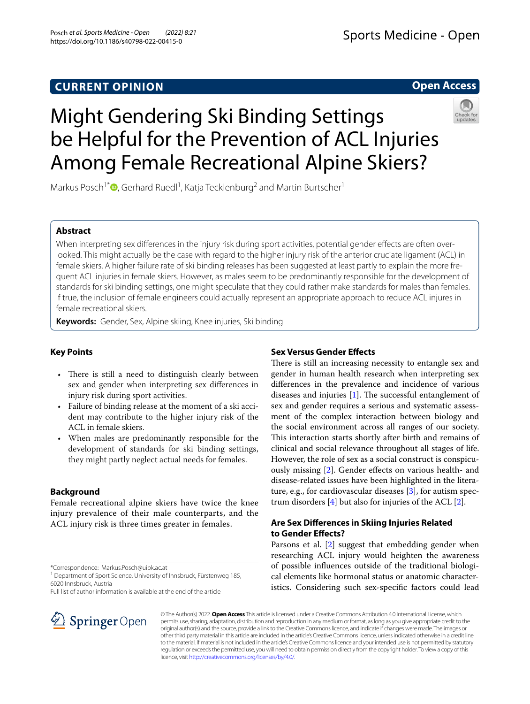# **Open Access**



# Might Gendering Ski Binding Settings be Helpful for the Prevention of ACL Injuries Among Female Recreational Alpine Skiers?

Markus Posch<sup>1\*</sup><sup>®</sup>[,](http://orcid.org/0000-0002-2134-8060) Gerhard Ruedl<sup>1</sup>, Katja Tecklenburg<sup>2</sup> and Martin Burtscher<sup>1</sup>

# **Abstract**

When interpreting sex differences in the injury risk during sport activities, potential gender effects are often overlooked. This might actually be the case with regard to the higher injury risk of the anterior cruciate ligament (ACL) in female skiers. A higher failure rate of ski binding releases has been suggested at least partly to explain the more frequent ACL injuries in female skiers. However, as males seem to be predominantly responsible for the development of standards for ski binding settings, one might speculate that they could rather make standards for males than females. If true, the inclusion of female engineers could actually represent an appropriate approach to reduce ACL injures in female recreational skiers.

**Keywords:** Gender, Sex, Alpine skiing, Knee injuries, Ski binding

# **Key Points**

- There is still a need to distinguish clearly between sex and gender when interpreting sex diferences in injury risk during sport activities.
- Failure of binding release at the moment of a ski accident may contribute to the higher injury risk of the ACL in female skiers.
- When males are predominantly responsible for the development of standards for ski binding settings, they might partly neglect actual needs for females.

## **Background**

Female recreational alpine skiers have twice the knee injury prevalence of their male counterparts, and the ACL injury risk is three times greater in females.

\*Correspondence: Markus.Posch@uibk.ac.at

<sup>1</sup> Department of Sport Science, University of Innsbruck, Fürstenweg 185, 6020 Innsbruck, Austria

Full list of author information is available at the end of the article

# SpringerOpen

## **Sex Versus Gender Efects**

There is still an increasing necessity to entangle sex and gender in human health research when interpreting sex diferences in the prevalence and incidence of various diseases and injuries  $[1]$  $[1]$ . The successful entanglement of sex and gender requires a serious and systematic assessment of the complex interaction between biology and the social environment across all ranges of our society. This interaction starts shortly after birth and remains of clinical and social relevance throughout all stages of life. However, the role of sex as a social construct is conspicuously missing [[2\]](#page-2-1). Gender efects on various health- and disease-related issues have been highlighted in the literature, e.g., for cardiovascular diseases [[3\]](#page-2-2), for autism spectrum disorders  $[4]$  $[4]$  but also for injuries of the ACL  $[2]$  $[2]$ .

# **Are Sex Diferences in Skiing Injuries Related to Gender Efects?**

Parsons et al. [[2](#page-2-1)] suggest that embedding gender when researching ACL injury would heighten the awareness of possible infuences outside of the traditional biological elements like hormonal status or anatomic characteristics. Considering such sex-specifc factors could lead

© The Author(s) 2022. **Open Access** This article is licensed under a Creative Commons Attribution 4.0 International License, which permits use, sharing, adaptation, distribution and reproduction in any medium or format, as long as you give appropriate credit to the original author(s) and the source, provide a link to the Creative Commons licence, and indicate if changes were made. The images or other third party material in this article are included in the article's Creative Commons licence, unless indicated otherwise in a credit line to the material. If material is not included in the article's Creative Commons licence and your intended use is not permitted by statutory regulation or exceeds the permitted use, you will need to obtain permission directly from the copyright holder. To view a copy of this licence, visit [http://creativecommons.org/licenses/by/4.0/.](http://creativecommons.org/licenses/by/4.0/)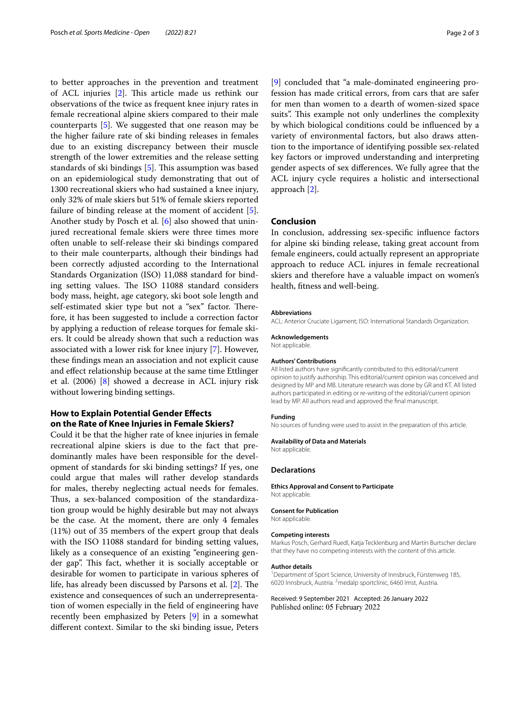to better approaches in the prevention and treatment of ACL injuries  $[2]$  $[2]$ . This article made us rethink our observations of the twice as frequent knee injury rates in female recreational alpine skiers compared to their male counterparts [\[5\]](#page-2-4). We suggested that one reason may be the higher failure rate of ski binding releases in females due to an existing discrepancy between their muscle strength of the lower extremities and the release setting standards of ski bindings  $[5]$  $[5]$ . This assumption was based on an epidemiological study demonstrating that out of 1300 recreational skiers who had sustained a knee injury, only 32% of male skiers but 51% of female skiers reported failure of binding release at the moment of accident [\[5](#page-2-4)]. Another study by Posch et al. [[6\]](#page-2-5) also showed that uninjured recreational female skiers were three times more often unable to self-release their ski bindings compared to their male counterparts, although their bindings had been correctly adjusted according to the International Standards Organization (ISO) 11,088 standard for binding setting values. The ISO 11088 standard considers body mass, height, age category, ski boot sole length and self-estimated skier type but not a "sex" factor. Therefore, it has been suggested to include a correction factor by applying a reduction of release torques for female skiers. It could be already shown that such a reduction was associated with a lower risk for knee injury [\[7](#page-2-6)]. However, these fndings mean an association and not explicit cause and efect relationship because at the same time Ettlinger et al. (2006) [\[8](#page-2-7)] showed a decrease in ACL injury risk without lowering binding settings.

## **How to Explain Potential Gender Efects on the Rate of Knee Injuries in Female Skiers?**

Could it be that the higher rate of knee injuries in female recreational alpine skiers is due to the fact that predominantly males have been responsible for the development of standards for ski binding settings? If yes, one could argue that males will rather develop standards for males, thereby neglecting actual needs for females. Thus, a sex-balanced composition of the standardization group would be highly desirable but may not always be the case. At the moment, there are only 4 females (11%) out of 35 members of the expert group that deals with the ISO 11088 standard for binding setting values, likely as a consequence of an existing "engineering gender gap". This fact, whether it is socially acceptable or desirable for women to participate in various spheres of life, has already been discussed by Parsons et al.  $[2]$  $[2]$ . The existence and consequences of such an underrepresentation of women especially in the feld of engineering have recently been emphasized by Peters [[9\]](#page-2-8) in a somewhat diferent context. Similar to the ski binding issue, Peters

[[9\]](#page-2-8) concluded that "a male-dominated engineering profession has made critical errors, from cars that are safer for men than women to a dearth of women-sized space suits". This example not only underlines the complexity by which biological conditions could be infuenced by a variety of environmental factors, but also draws attention to the importance of identifying possible sex-related key factors or improved understanding and interpreting gender aspects of sex diferences. We fully agree that the ACL injury cycle requires a holistic and intersectional approach [\[2](#page-2-1)].

## **Conclusion**

In conclusion, addressing sex-specifc infuence factors for alpine ski binding release, taking great account from female engineers, could actually represent an appropriate approach to reduce ACL injures in female recreational skiers and therefore have a valuable impact on women's health, ftness and well-being.

#### **Abbreviations**

ACL: Anterior Cruciate Ligament; ISO: International Standards Organization.

## **Acknowledgements**

Not applicable.

## **Authors' Contributions**

All listed authors have signifcantly contributed to this editorial/current opinion to justify authorship. This editorial/current opinion was conceived and designed by MP and MB. Literature research was done by GR and KT. All listed authors participated in editing or re-writing of the editorial/current opinion lead by MP. All authors read and approved the fnal manuscript.

#### **Funding**

No sources of funding were used to assist in the preparation of this article.

#### **Availability of Data and Materials**

Not applicable.

### **Declarations**

**Ethics Approval and Consent to Participate** Not applicable.

### **Consent for Publication**

Not applicable.

### **Competing interests**

Markus Posch, Gerhard Ruedl, Katja Tecklenburg and Martin Burtscher declare that they have no competing interests with the content of this article.

#### **Author details**

<sup>1</sup> Department of Sport Science, University of Innsbruck, Fürstenweg 185, 6020 Innsbruck, Austria. <sup>2</sup> medalp sportclinic, 6460 Imst, Austria.

Received: 9 September 2021 Accepted: 26 January 2022Published online: 05 February 2022